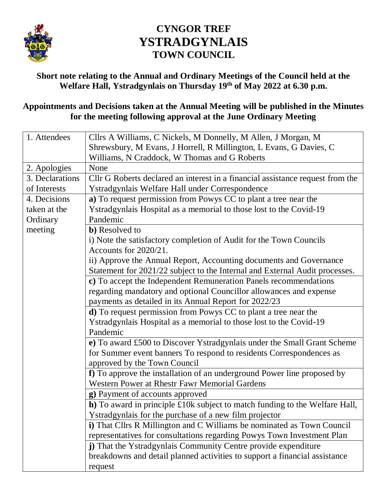

## **CYNGOR TREF YSTRADGYNLAIS TOWN COUNCIL**

**Short note relating to the Annual and Ordinary Meetings of the Council held at the Welfare Hall, Ystradgynlais on Thursday 19th of May 2022 at 6.30 p.m.**

## **Appointments and Decisions taken at the Annual Meeting will be published in the Minutes for the meeting following approval at the June Ordinary Meeting**

| 1. Attendees    | Cllrs A Williams, C Nickels, M Donnelly, M Allen, J Morgan, M                  |
|-----------------|--------------------------------------------------------------------------------|
|                 | Shrewsbury, M Evans, J Horrell, R Millington, L Evans, G Davies, C             |
|                 | Williams, N Craddock, W Thomas and G Roberts                                   |
| 2. Apologies    | None                                                                           |
| 3. Declarations | Cllr G Roberts declared an interest in a financial assistance request from the |
| of Interests    | Ystradgynlais Welfare Hall under Correspondence                                |
| 4. Decisions    | a) To request permission from Powys CC to plant a tree near the                |
| taken at the    | Ystradgynlais Hospital as a memorial to those lost to the Covid-19             |
| Ordinary        | Pandemic                                                                       |
| meeting         | <b>b</b> ) Resolved to                                                         |
|                 | i) Note the satisfactory completion of Audit for the Town Councils             |
|                 | Accounts for 2020/21.                                                          |
|                 | ii) Approve the Annual Report, Accounting documents and Governance             |
|                 | Statement for 2021/22 subject to the Internal and External Audit processes.    |
|                 | c) To accept the Independent Remuneration Panels recommendations               |
|                 | regarding mandatory and optional Councillor allowances and expense             |
|                 | payments as detailed in its Annual Report for 2022/23                          |
|                 | d) To request permission from Powys CC to plant a tree near the                |
|                 | Ystradgynlais Hospital as a memorial to those lost to the Covid-19             |
|                 | Pandemic                                                                       |
|                 | e) To award £500 to Discover Ystradgynlais under the Small Grant Scheme        |
|                 | for Summer event banners To respond to residents Correspondences as            |
|                 | approved by the Town Council                                                   |
|                 | f) To approve the installation of an underground Power line proposed by        |
|                 | Western Power at Rhestr Fawr Memorial Gardens                                  |
|                 | g) Payment of accounts approved                                                |
|                 | h) To award in principle £10k subject to match funding to the Welfare Hall,    |
|                 | Ystradgynlais for the purchase of a new film projector                         |
|                 | i) That Cllrs R Millington and C Williams be nominated as Town Council         |
|                 | representatives for consultations regarding Powys Town Investment Plan         |
|                 | j) That the Ystradgynlais Community Centre provide expenditure                 |
|                 | breakdowns and detail planned activities to support a financial assistance     |
|                 | request                                                                        |